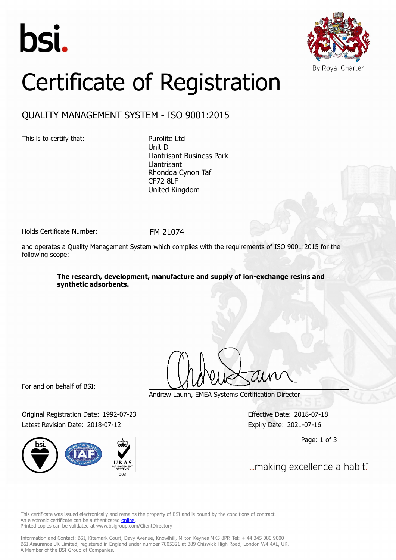



# Certificate of Registration

## QUALITY MANAGEMENT SYSTEM - ISO 9001:2015

This is to certify that: Purolite Ltd

Unit D Llantrisant Business Park Llantrisant Rhondda Cynon Taf CF72 8LF United Kingdom

Holds Certificate Number: FM 21074

and operates a Quality Management System which complies with the requirements of ISO 9001:2015 for the following scope:

> **The research, development, manufacture and supply of ion-exchange resins and synthetic adsorbents.**

For and on behalf of BSI:

Original Registration Date: 1992-07-23 Effective Date: 2018-07-18 Latest Revision Date: 2018-07-12 Expiry Date: 2021-07-16



Andrew Launn, EMEA Systems Certification Director

Page: 1 of 3

... making excellence a habit."

This certificate was issued electronically and remains the property of BSI and is bound by the conditions of contract. An electronic certificate can be authenticated **[online](https://pgplus.bsigroup.com/CertificateValidation/CertificateValidator.aspx?CertificateNumber=FM+21074&ReIssueDate=12%2f07%2f2018&Template=uk)**. Printed copies can be validated at www.bsigroup.com/ClientDirectory

Information and Contact: BSI, Kitemark Court, Davy Avenue, Knowlhill, Milton Keynes MK5 8PP. Tel: + 44 345 080 9000 BSI Assurance UK Limited, registered in England under number 7805321 at 389 Chiswick High Road, London W4 4AL, UK. A Member of the BSI Group of Companies.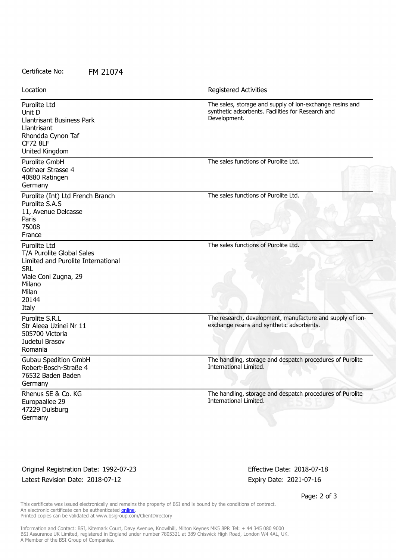#### Certificate No: FM 21074

| Location                                                                                                                                                   | <b>Registered Activities</b>                                                                                                  |
|------------------------------------------------------------------------------------------------------------------------------------------------------------|-------------------------------------------------------------------------------------------------------------------------------|
| Purolite Ltd<br>Unit D<br><b>Llantrisant Business Park</b><br>Llantrisant<br>Rhondda Cynon Taf<br><b>CF72 8LF</b><br>United Kingdom                        | The sales, storage and supply of ion-exchange resins and<br>synthetic adsorbents. Facilities for Research and<br>Development. |
| Purolite GmbH<br>Gothaer Strasse 4<br>40880 Ratingen<br>Germany                                                                                            | The sales functions of Purolite Ltd.                                                                                          |
| Purolite (Int) Ltd French Branch<br>Purolite S.A.S<br>11, Avenue Delcasse<br>Paris<br>75008<br>France                                                      | The sales functions of Purolite Ltd.                                                                                          |
| Purolite Ltd<br>T/A Purolite Global Sales<br>Limited and Purolite International<br><b>SRL</b><br>Viale Coni Zugna, 29<br>Milano<br>Milan<br>20144<br>Italy | The sales functions of Purolite Ltd.                                                                                          |
| Purolite S.R.L<br>Str Aleea Uzinei Nr 11<br>505700 Victoria<br>Judetul Brasov<br>Romania                                                                   | The research, development, manufacture and supply of ion-<br>exchange resins and synthetic adsorbents.                        |
| <b>Gubau Spedition GmbH</b><br>Robert-Bosch-Straße 4<br>76532 Baden Baden<br>Germany                                                                       | The handling, storage and despatch procedures of Purolite<br>International Limited.                                           |
| Rhenus SE & Co. KG<br>Europaallee 29<br>47229 Duisburg<br>Germany                                                                                          | The handling, storage and despatch procedures of Purolite<br>International Limited.                                           |

### Original Registration Date: 1992-07-23 Effective Date: 2018-07-18 Latest Revision Date: 2018-07-12 Expiry Date: 2021-07-16

Page: 2 of 3

This certificate was issued electronically and remains the property of BSI and is bound by the conditions of contract. An electronic certificate can be authenticated **[online](https://pgplus.bsigroup.com/CertificateValidation/CertificateValidator.aspx?CertificateNumber=FM+21074&ReIssueDate=12%2f07%2f2018&Template=uk)**. Printed copies can be validated at www.bsigroup.com/ClientDirectory

Information and Contact: BSI, Kitemark Court, Davy Avenue, Knowlhill, Milton Keynes MK5 8PP. Tel: + 44 345 080 9000 BSI Assurance UK Limited, registered in England under number 7805321 at 389 Chiswick High Road, London W4 4AL, UK. A Member of the BSI Group of Companies.